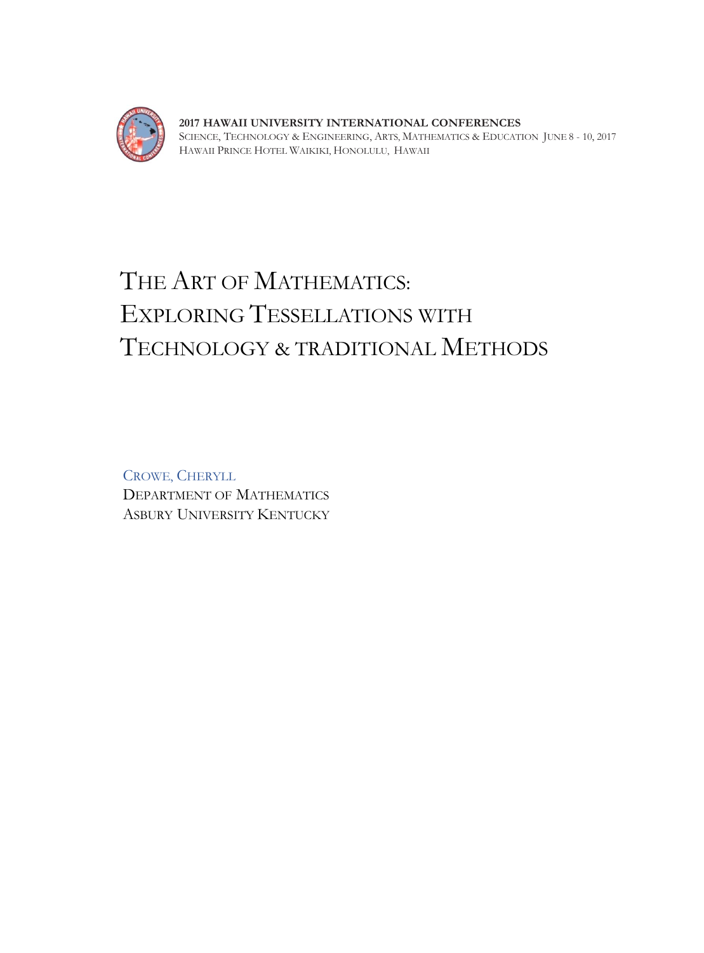

**2017 HAWAII UNIVERSITY INTERNATIONAL CONFERENCES**  SCIENCE, TECHNOLOGY & ENGINEERING, ARTS, MATHEMATICS & EDUCATION JUNE 8 - 10, 2017 HAWAII PRINCE HOTEL WAIKIKI, HONOLULU, HAWAII

# THE ART OF MATHEMATICS: EXPLORING TESSELLATIONS WITH TECHNOLOGY & TRADITIONAL METHODS

CROWE, CHERYLL DEPARTMENT OF MATHEMATICS ASBURY UNIVERSITY KENTUCKY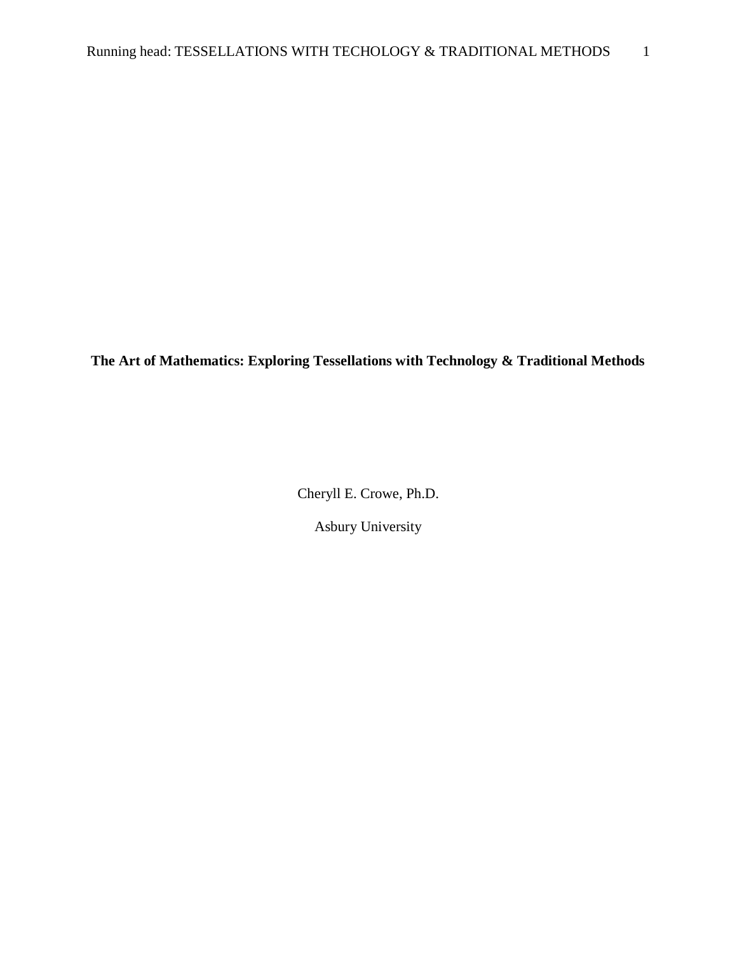**The Art of Mathematics: Exploring Tessellations with Technology & Traditional Methods**

Cheryll E. Crowe, Ph.D.

Asbury University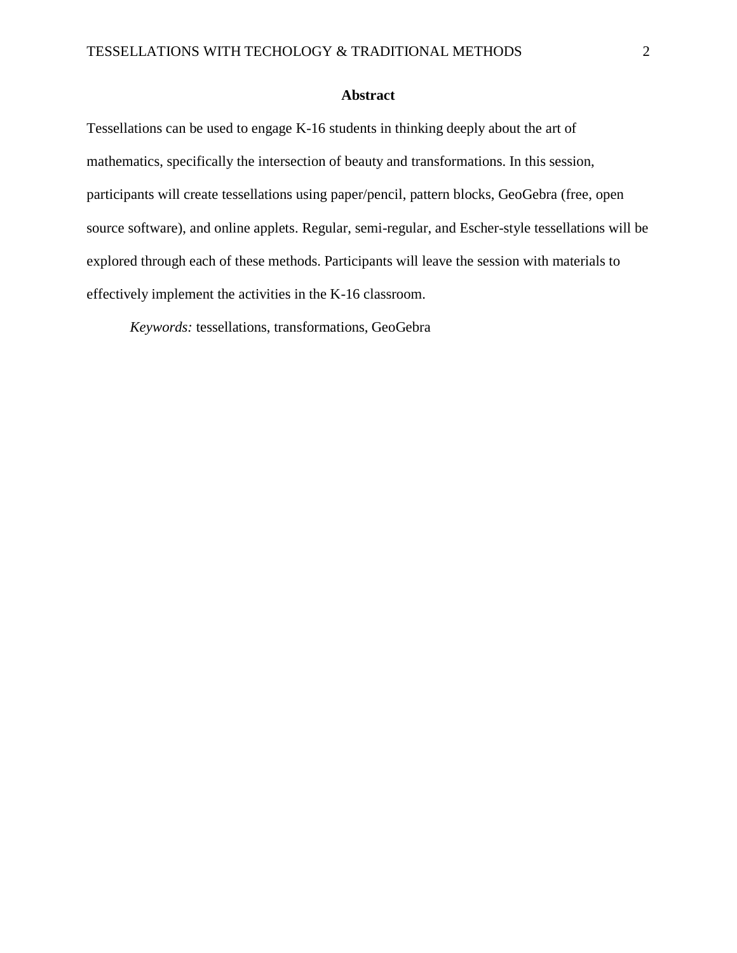#### **Abstract**

Tessellations can be used to engage K-16 students in thinking deeply about the art of mathematics, specifically the intersection of beauty and transformations. In this session, participants will create tessellations using paper/pencil, pattern blocks, GeoGebra (free, open source software), and online applets. Regular, semi-regular, and Escher-style tessellations will be explored through each of these methods. Participants will leave the session with materials to effectively implement the activities in the K-16 classroom.

*Keywords:* tessellations, transformations, GeoGebra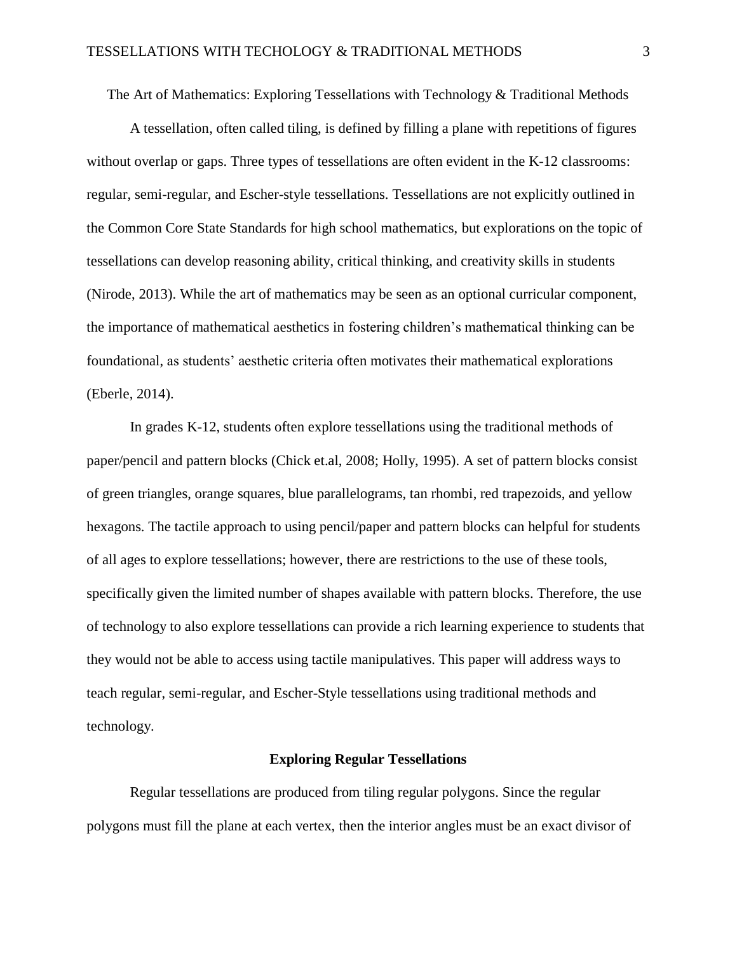The Art of Mathematics: Exploring Tessellations with Technology & Traditional Methods

A tessellation, often called tiling, is defined by filling a plane with repetitions of figures without overlap or gaps. Three types of tessellations are often evident in the K-12 classrooms: regular, semi-regular, and Escher-style tessellations. Tessellations are not explicitly outlined in the Common Core State Standards for high school mathematics, but explorations on the topic of tessellations can develop reasoning ability, critical thinking, and creativity skills in students (Nirode, 2013). While the art of mathematics may be seen as an optional curricular component, the importance of mathematical aesthetics in fostering children's mathematical thinking can be foundational, as students' aesthetic criteria often motivates their mathematical explorations (Eberle, 2014).

In grades K-12, students often explore tessellations using the traditional methods of paper/pencil and pattern blocks (Chick et.al, 2008; Holly, 1995). A set of pattern blocks consist of green triangles, orange squares, blue parallelograms, tan rhombi, red trapezoids, and yellow hexagons. The tactile approach to using pencil/paper and pattern blocks can helpful for students of all ages to explore tessellations; however, there are restrictions to the use of these tools, specifically given the limited number of shapes available with pattern blocks. Therefore, the use of technology to also explore tessellations can provide a rich learning experience to students that they would not be able to access using tactile manipulatives. This paper will address ways to teach regular, semi-regular, and Escher-Style tessellations using traditional methods and technology.

#### **Exploring Regular Tessellations**

Regular tessellations are produced from tiling regular polygons. Since the regular polygons must fill the plane at each vertex, then the interior angles must be an exact divisor of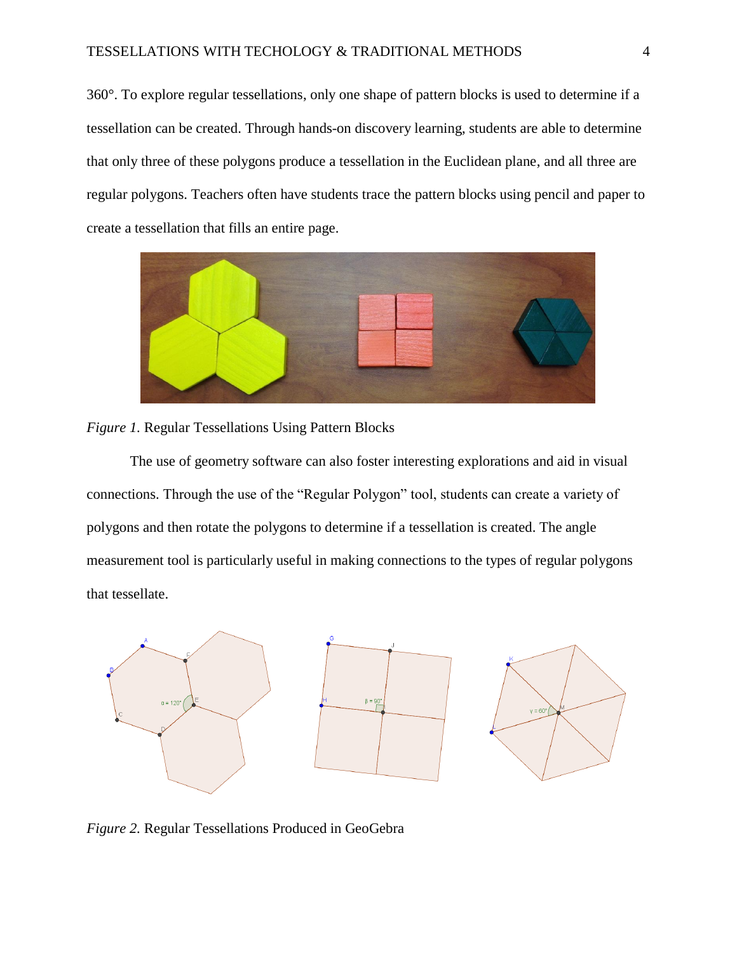360°. To explore regular tessellations, only one shape of pattern blocks is used to determine if a tessellation can be created. Through hands-on discovery learning, students are able to determine that only three of these polygons produce a tessellation in the Euclidean plane, and all three are regular polygons. Teachers often have students trace the pattern blocks using pencil and paper to create a tessellation that fills an entire page.





The use of geometry software can also foster interesting explorations and aid in visual connections. Through the use of the "Regular Polygon" tool, students can create a variety of polygons and then rotate the polygons to determine if a tessellation is created. The angle measurement tool is particularly useful in making connections to the types of regular polygons that tessellate.



*Figure 2.* Regular Tessellations Produced in GeoGebra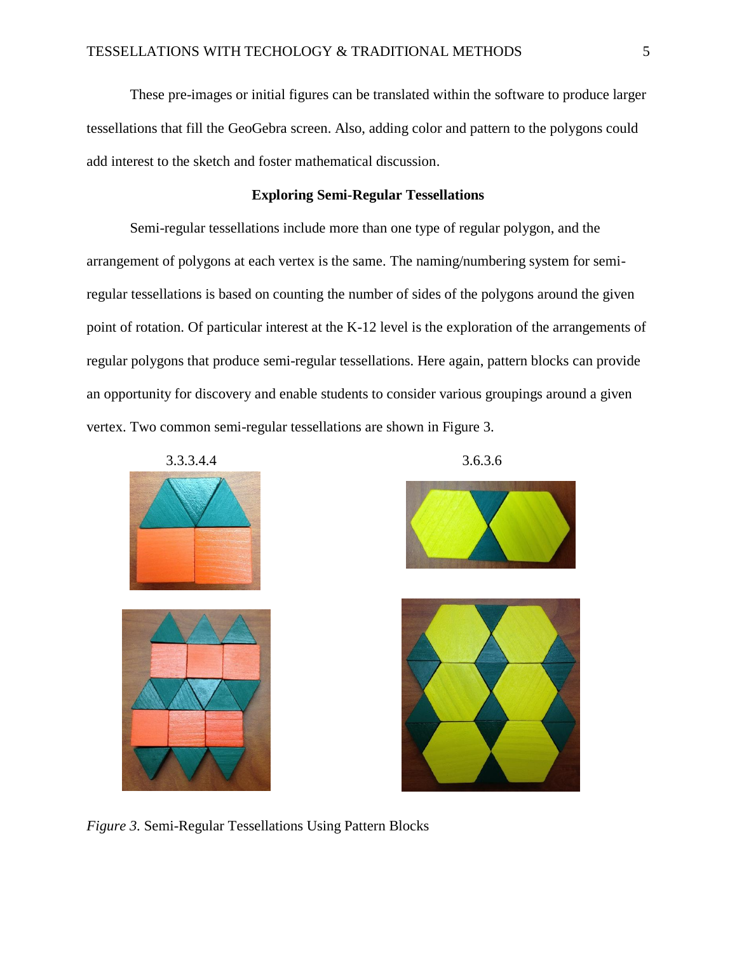These pre-images or initial figures can be translated within the software to produce larger tessellations that fill the GeoGebra screen. Also, adding color and pattern to the polygons could add interest to the sketch and foster mathematical discussion.

#### **Exploring Semi-Regular Tessellations**

Semi-regular tessellations include more than one type of regular polygon, and the arrangement of polygons at each vertex is the same. The naming/numbering system for semiregular tessellations is based on counting the number of sides of the polygons around the given point of rotation. Of particular interest at the K-12 level is the exploration of the arrangements of regular polygons that produce semi-regular tessellations. Here again, pattern blocks can provide an opportunity for discovery and enable students to consider various groupings around a given vertex. Two common semi-regular tessellations are shown in Figure 3.





*Figure 3.* Semi-Regular Tessellations Using Pattern Blocks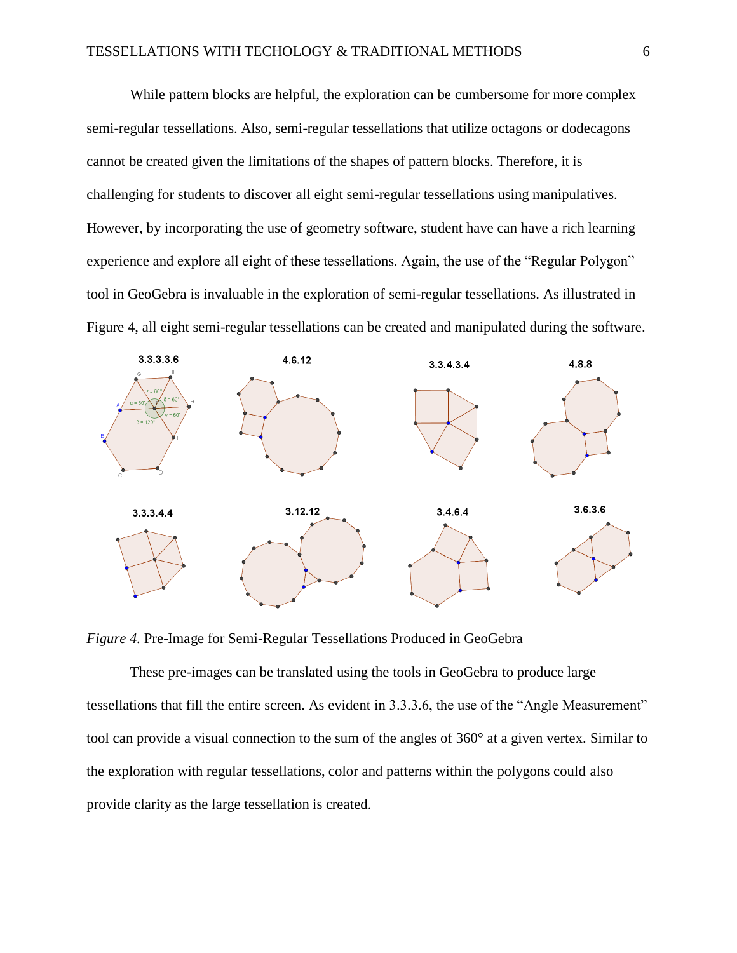While pattern blocks are helpful, the exploration can be cumbersome for more complex semi-regular tessellations. Also, semi-regular tessellations that utilize octagons or dodecagons cannot be created given the limitations of the shapes of pattern blocks. Therefore, it is challenging for students to discover all eight semi-regular tessellations using manipulatives. However, by incorporating the use of geometry software, student have can have a rich learning experience and explore all eight of these tessellations. Again, the use of the "Regular Polygon" tool in GeoGebra is invaluable in the exploration of semi-regular tessellations. As illustrated in Figure 4, all eight semi-regular tessellations can be created and manipulated during the software.



*Figure 4.* Pre-Image for Semi-Regular Tessellations Produced in GeoGebra

These pre-images can be translated using the tools in GeoGebra to produce large tessellations that fill the entire screen. As evident in 3.3.3.6, the use of the "Angle Measurement" tool can provide a visual connection to the sum of the angles of 360° at a given vertex. Similar to the exploration with regular tessellations, color and patterns within the polygons could also provide clarity as the large tessellation is created.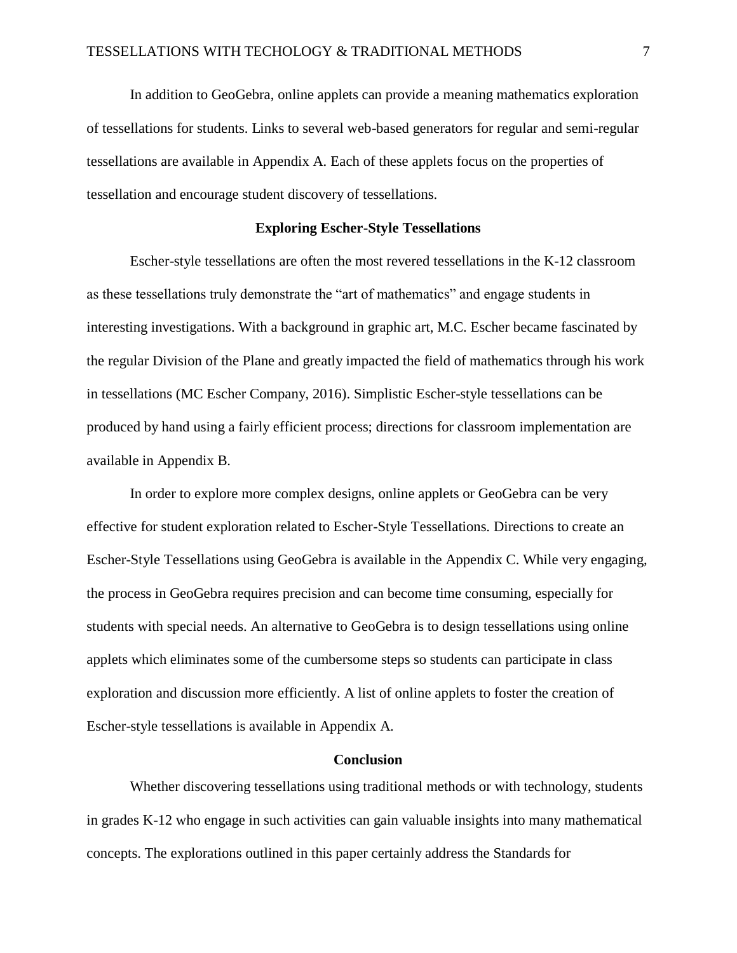In addition to GeoGebra, online applets can provide a meaning mathematics exploration of tessellations for students. Links to several web-based generators for regular and semi-regular tessellations are available in Appendix A. Each of these applets focus on the properties of tessellation and encourage student discovery of tessellations.

#### **Exploring Escher-Style Tessellations**

Escher-style tessellations are often the most revered tessellations in the K-12 classroom as these tessellations truly demonstrate the "art of mathematics" and engage students in interesting investigations. With a background in graphic art, M.C. Escher became fascinated by the regular Division of the Plane and greatly impacted the field of mathematics through his work in tessellations (MC Escher Company, 2016). Simplistic Escher-style tessellations can be produced by hand using a fairly efficient process; directions for classroom implementation are available in Appendix B.

In order to explore more complex designs, online applets or GeoGebra can be very effective for student exploration related to Escher-Style Tessellations. Directions to create an Escher-Style Tessellations using GeoGebra is available in the Appendix C. While very engaging, the process in GeoGebra requires precision and can become time consuming, especially for students with special needs. An alternative to GeoGebra is to design tessellations using online applets which eliminates some of the cumbersome steps so students can participate in class exploration and discussion more efficiently. A list of online applets to foster the creation of Escher-style tessellations is available in Appendix A.

#### **Conclusion**

Whether discovering tessellations using traditional methods or with technology, students in grades K-12 who engage in such activities can gain valuable insights into many mathematical concepts. The explorations outlined in this paper certainly address the Standards for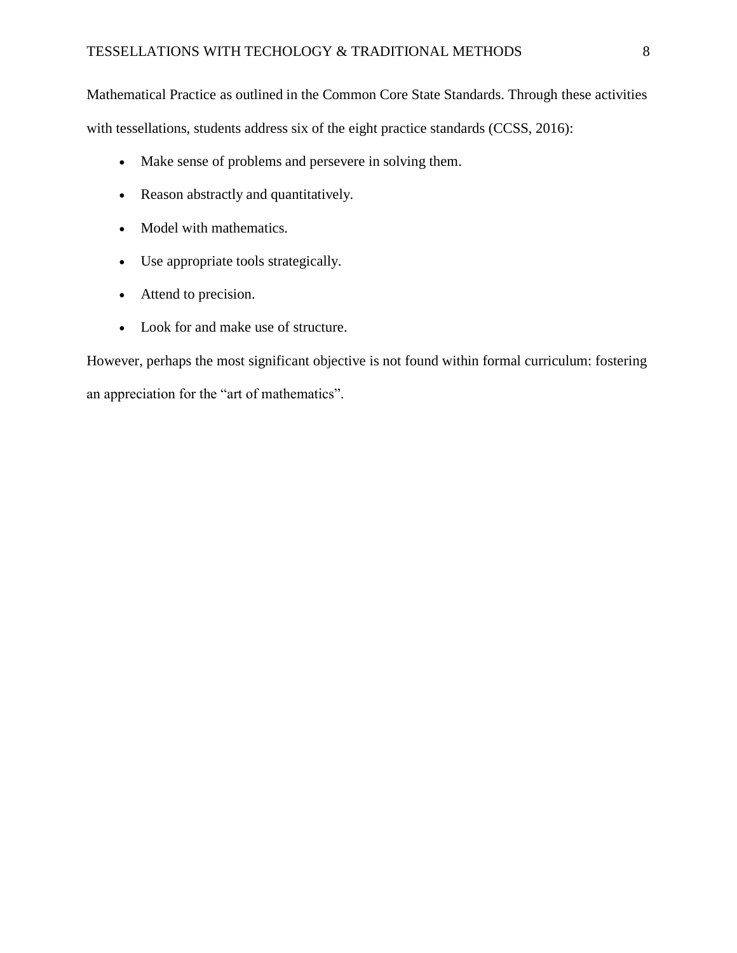Mathematical Practice as outlined in the Common Core State Standards. Through these activities with tessellations, students address six of the eight practice standards (CCSS, 2016):

- Make sense of problems and persevere in solving them.
- Reason abstractly and quantitatively.
- Model with mathematics.
- Use appropriate tools strategically.
- Attend to precision.
- Look for and make use of structure.

However, perhaps the most significant objective is not found within formal curriculum: fostering an appreciation for the "art of mathematics".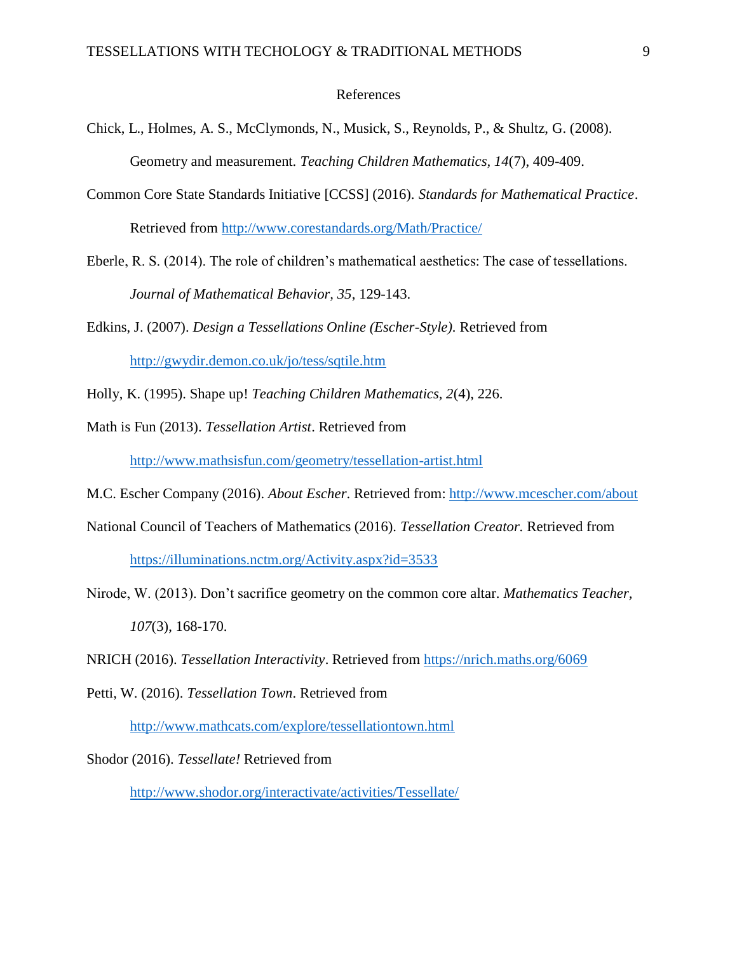#### References

- Chick, L., Holmes, A. S., McClymonds, N., Musick, S., Reynolds, P., & Shultz, G. (2008). Geometry and measurement. *Teaching Children Mathematics, 14*(7), 409-409.
- Common Core State Standards Initiative [CCSS] (2016). *Standards for Mathematical Practice*. Retrieved from<http://www.corestandards.org/Math/Practice/>
- Eberle, R. S. (2014). The role of children's mathematical aesthetics: The case of tessellations. *Journal of Mathematical Behavior, 35*, 129-143.
- Edkins, J. (2007). *Design a Tessellations Online (Escher-Style).* Retrieved from <http://gwydir.demon.co.uk/jo/tess/sqtile.htm>
- Holly, K. (1995). Shape up! *Teaching Children Mathematics, 2*(4), 226.
- Math is Fun (2013). *Tessellation Artist*. Retrieved from

<http://www.mathsisfun.com/geometry/tessellation-artist.html>

- M.C. Escher Company (2016). *About Escher*. Retrieved from:<http://www.mcescher.com/about>
- National Council of Teachers of Mathematics (2016). *Tessellation Creator.* Retrieved from

<https://illuminations.nctm.org/Activity.aspx?id=3533>

- Nirode, W. (2013). Don't sacrifice geometry on the common core altar. *Mathematics Teacher, 107*(3), 168-170.
- NRICH (2016). *Tessellation Interactivity*. Retrieved from<https://nrich.maths.org/6069>
- Petti, W. (2016). *Tessellation Town*. Retrieved from <http://www.mathcats.com/explore/tessellationtown.html>

Shodor (2016). *Tessellate!* Retrieved from

<http://www.shodor.org/interactivate/activities/Tessellate/>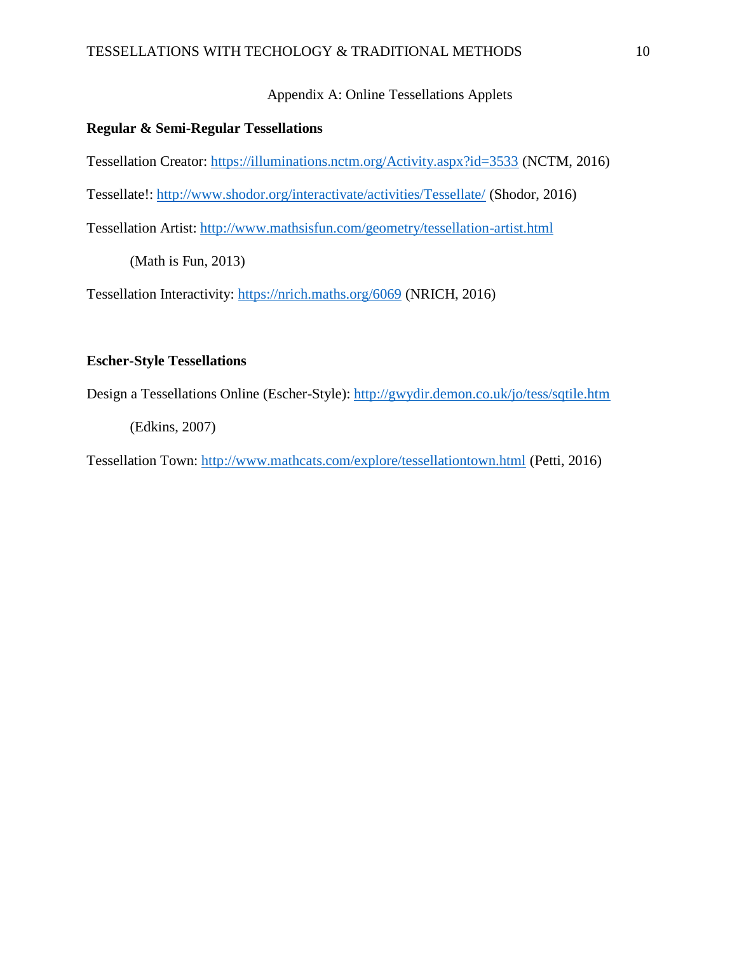## Appendix A: Online Tessellations Applets

#### **Regular & Semi-Regular Tessellations**

Tessellation Creator:<https://illuminations.nctm.org/Activity.aspx?id=3533> (NCTM, 2016)

Tessellate!:<http://www.shodor.org/interactivate/activities/Tessellate/> (Shodor, 2016)

Tessellation Artist:<http://www.mathsisfun.com/geometry/tessellation-artist.html>

(Math is Fun, 2013)

Tessellation Interactivity:<https://nrich.maths.org/6069> (NRICH, 2016)

## **Escher-Style Tessellations**

Design a Tessellations Online (Escher-Style):<http://gwydir.demon.co.uk/jo/tess/sqtile.htm>

(Edkins, 2007)

Tessellation Town:<http://www.mathcats.com/explore/tessellationtown.html> (Petti, 2016)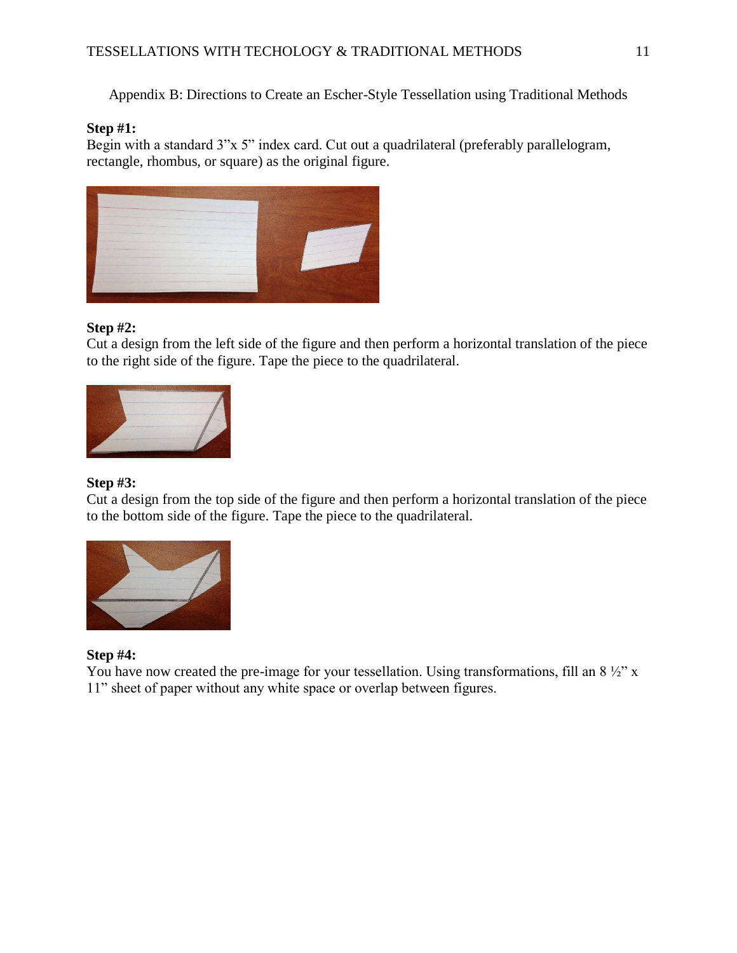Appendix B: Directions to Create an Escher-Style Tessellation using Traditional Methods

#### **Step #1:**

Begin with a standard 3"x 5" index card. Cut out a quadrilateral (preferably parallelogram, rectangle, rhombus, or square) as the original figure.



#### **Step #2:**

Cut a design from the left side of the figure and then perform a horizontal translation of the piece to the right side of the figure. Tape the piece to the quadrilateral.



#### **Step #3:**

Cut a design from the top side of the figure and then perform a horizontal translation of the piece to the bottom side of the figure. Tape the piece to the quadrilateral.



## **Step #4:**

You have now created the pre-image for your tessellation. Using transformations, fill an  $8\frac{1}{2}$  x 11" sheet of paper without any white space or overlap between figures.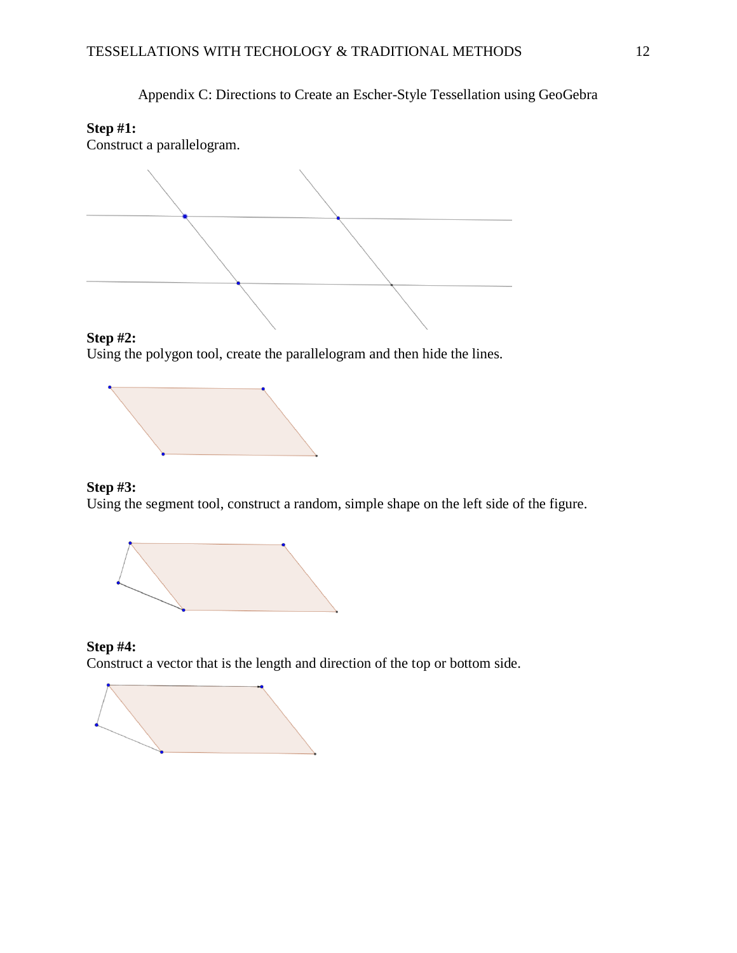Appendix C: Directions to Create an Escher-Style Tessellation using GeoGebra

# **Step #1:**

Construct a parallelogram.



# **Step #2:**

Using the polygon tool, create the parallelogram and then hide the lines.



### **Step #3:**

Using the segment tool, construct a random, simple shape on the left side of the figure.



#### **Step #4:** Construct a vector that is the length and direction of the top or bottom side.

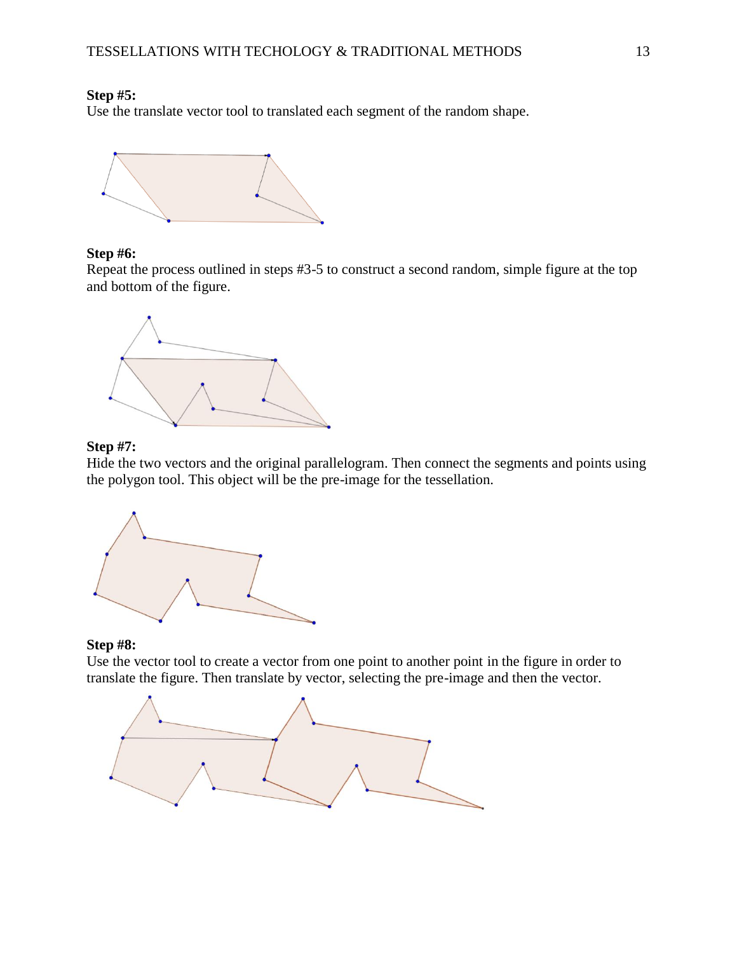#### **Step #5:**

Use the translate vector tool to translated each segment of the random shape.



#### **Step #6:**

Repeat the process outlined in steps #3-5 to construct a second random, simple figure at the top and bottom of the figure.



## **Step #7:**

Hide the two vectors and the original parallelogram. Then connect the segments and points using the polygon tool. This object will be the pre-image for the tessellation.



## **Step #8:**

Use the vector tool to create a vector from one point to another point in the figure in order to translate the figure. Then translate by vector, selecting the pre-image and then the vector.